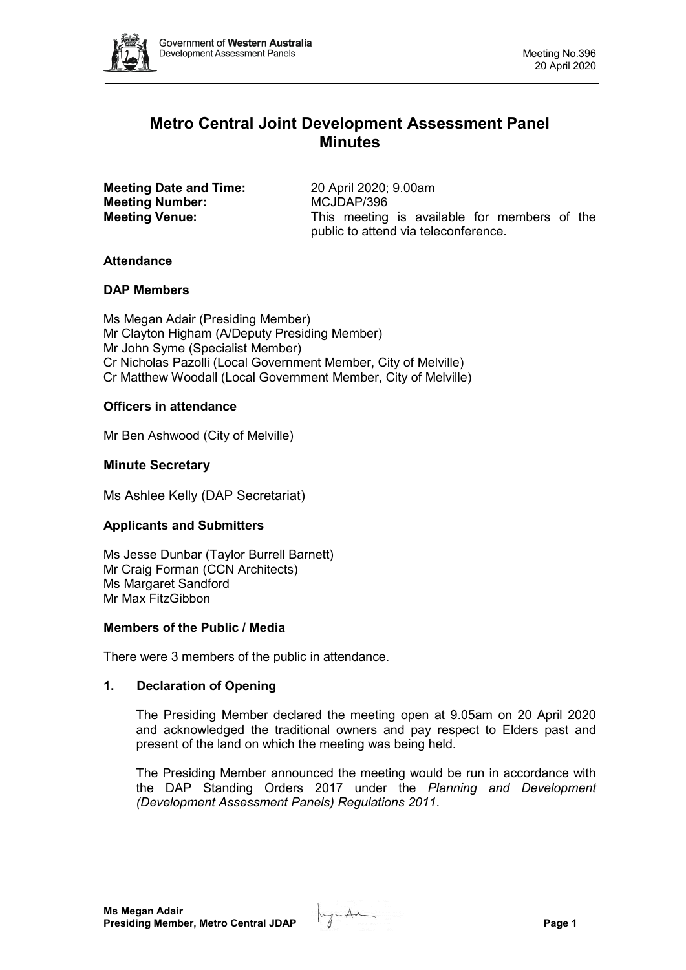

# **Metro Central Joint Development Assessment Panel Minutes**

**Meeting Date and Time:** 20 April 2020; 9.00am<br> **Meeting Number:** MCJDAP/396 **Meeting Number:** 

**Meeting Venue:** This meeting is available for members of the public to attend via teleconference.

# **Attendance**

## **DAP Members**

Ms Megan Adair (Presiding Member) Mr Clayton Higham (A/Deputy Presiding Member) Mr John Syme (Specialist Member) Cr Nicholas Pazolli (Local Government Member, City of Melville) Cr Matthew Woodall (Local Government Member, City of Melville)

# **Officers in attendance**

Mr Ben Ashwood (City of Melville)

# **Minute Secretary**

Ms Ashlee Kelly (DAP Secretariat)

# **Applicants and Submitters**

Ms Jesse Dunbar (Taylor Burrell Barnett) Mr Craig Forman (CCN Architects) Ms Margaret Sandford Mr Max FitzGibbon

## **Members of the Public / Media**

There were 3 members of the public in attendance.

## **1. Declaration of Opening**

The Presiding Member declared the meeting open at 9.05am on 20 April 2020 and acknowledged the traditional owners and pay respect to Elders past and present of the land on which the meeting was being held.

The Presiding Member announced the meeting would be run in accordance with the DAP Standing Orders 2017 under the *Planning and Development (Development Assessment Panels) Regulations 2011*.

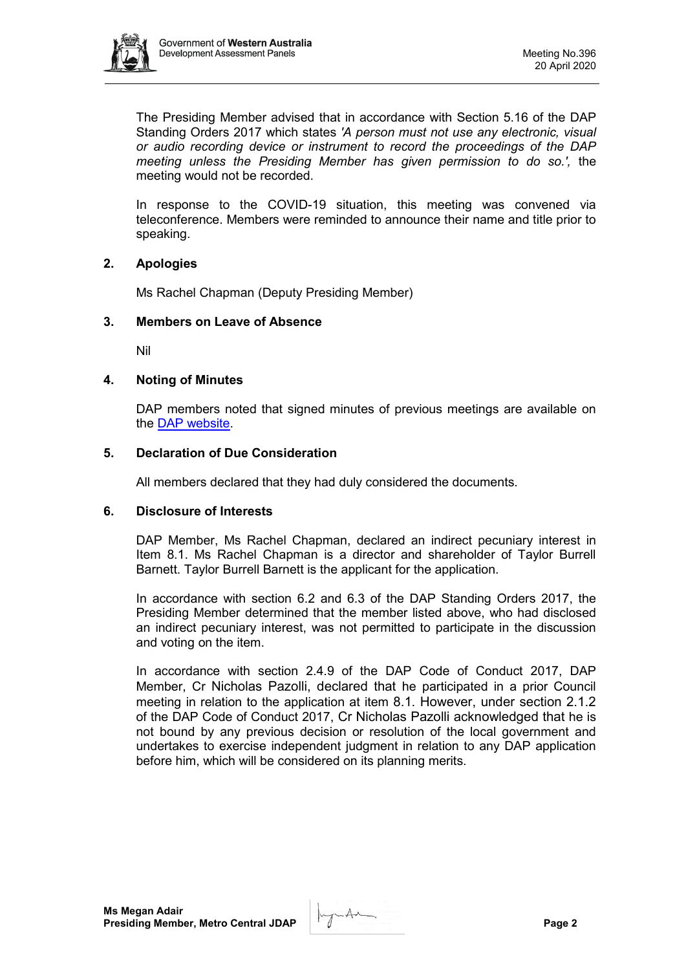

The Presiding Member advised that in accordance with Section 5.16 of the DAP Standing Orders 2017 which states *'A person must not use any electronic, visual or audio recording device or instrument to record the proceedings of the DAP meeting unless the Presiding Member has given permission to do so.',* the meeting would not be recorded.

In response to the COVID-19 situation, this meeting was convened via teleconference. Members were reminded to announce their name and title prior to speaking.

#### **2. Apologies**

Ms Rachel Chapman (Deputy Presiding Member)

#### **3. Members on Leave of Absence**

Nil

#### **4. Noting of Minutes**

DAP members noted that signed minutes of previous meetings are available on the [DAP website.](https://www.dplh.wa.gov.au/about/development-assessment-panels/daps-agendas-and-minutes)

#### **5. Declaration of Due Consideration**

All members declared that they had duly considered the documents.

#### **6. Disclosure of Interests**

DAP Member, Ms Rachel Chapman, declared an indirect pecuniary interest in Item 8.1. Ms Rachel Chapman is a director and shareholder of Taylor Burrell Barnett. Taylor Burrell Barnett is the applicant for the application.

In accordance with section 6.2 and 6.3 of the DAP Standing Orders 2017, the Presiding Member determined that the member listed above, who had disclosed an indirect pecuniary interest, was not permitted to participate in the discussion and voting on the item.

In accordance with section 2.4.9 of the DAP Code of Conduct 2017, DAP Member, Cr Nicholas Pazolli, declared that he participated in a prior Council meeting in relation to the application at item 8.1. However, under section 2.1.2 of the DAP Code of Conduct 2017, Cr Nicholas Pazolli acknowledged that he is not bound by any previous decision or resolution of the local government and undertakes to exercise independent judgment in relation to any DAP application before him, which will be considered on its planning merits.

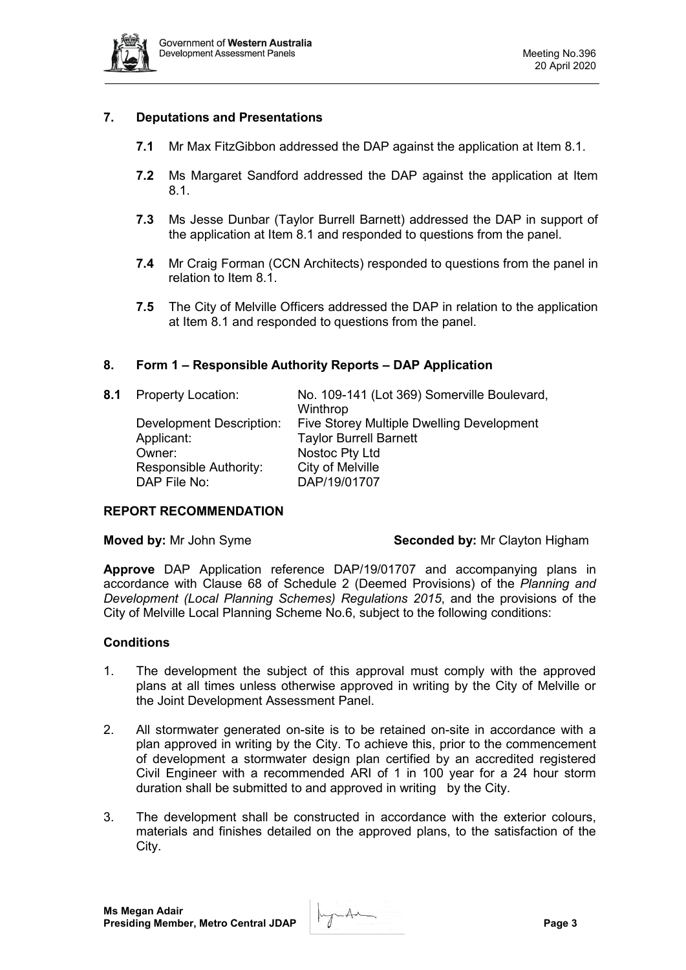

# **7. Deputations and Presentations**

- **7.1** Mr Max FitzGibbon addressed the DAP against the application at Item 8.1.
- **7.2** Ms Margaret Sandford addressed the DAP against the application at Item 8.1.
- **7.3** Ms Jesse Dunbar (Taylor Burrell Barnett) addressed the DAP in support of the application at Item 8.1 and responded to questions from the panel.
- **7.4** Mr Craig Forman (CCN Architects) responded to questions from the panel in relation to Item 8.1.
- **7.5** The City of Melville Officers addressed the DAP in relation to the application at Item 8.1 and responded to questions from the panel.

## **8. Form 1 – Responsible Authority Reports – DAP Application**

| 8.1 | <b>Property Location:</b> | No. 109-141 (Lot 369) Somerville Boulevard, |
|-----|---------------------------|---------------------------------------------|
|     |                           | Winthrop                                    |
|     | Development Description:  | Five Storey Multiple Dwelling Development   |
|     | Applicant:                | <b>Taylor Burrell Barnett</b>               |
|     | Owner:                    | Nostoc Pty Ltd                              |
|     | Responsible Authority:    | City of Melville                            |
|     | DAP File No:              | DAP/19/01707                                |

#### **REPORT RECOMMENDATION**

| Moved by: Mr John Syme |  |  |  |  |  |  |
|------------------------|--|--|--|--|--|--|
|------------------------|--|--|--|--|--|--|

#### **Seconded by: Mr Clayton Higham**

**Approve** DAP Application reference DAP/19/01707 and accompanying plans in accordance with Clause 68 of Schedule 2 (Deemed Provisions) of the *Planning and Development (Local Planning Schemes) Regulations 2015*, and the provisions of the City of Melville Local Planning Scheme No.6, subject to the following conditions:

#### **Conditions**

- 1. The development the subject of this approval must comply with the approved plans at all times unless otherwise approved in writing by the City of Melville or the Joint Development Assessment Panel.
- 2. All stormwater generated on-site is to be retained on-site in accordance with a plan approved in writing by the City. To achieve this, prior to the commencement of development a stormwater design plan certified by an accredited registered Civil Engineer with a recommended ARI of 1 in 100 year for a 24 hour storm duration shall be submitted to and approved in writing by the City.
- 3. The development shall be constructed in accordance with the exterior colours, materials and finishes detailed on the approved plans, to the satisfaction of the City.

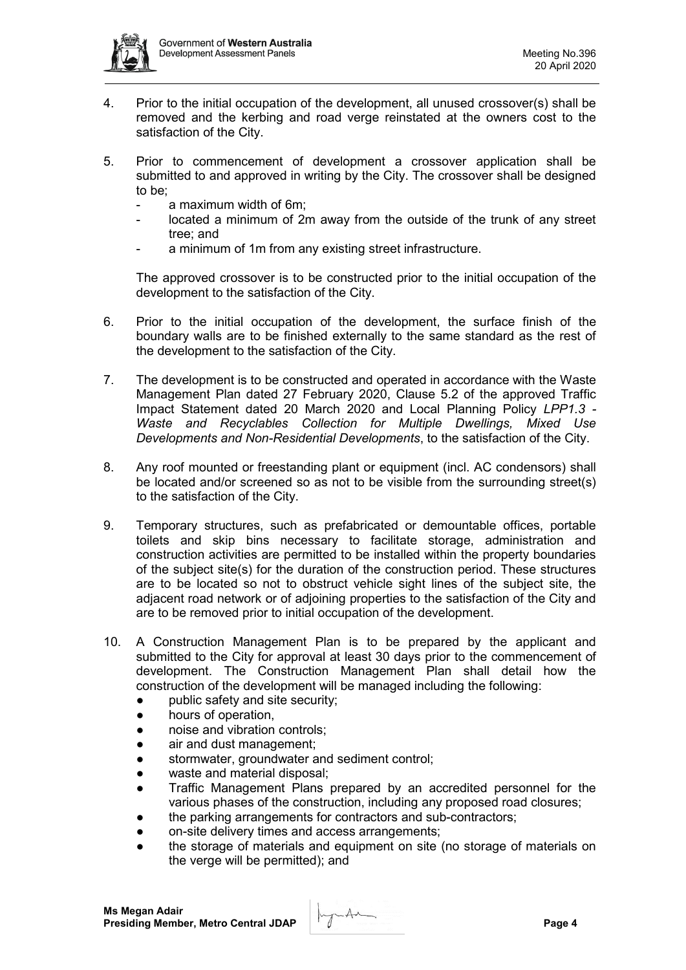

- 4. Prior to the initial occupation of the development, all unused crossover(s) shall be removed and the kerbing and road verge reinstated at the owners cost to the satisfaction of the City.
- 5. Prior to commencement of development a crossover application shall be submitted to and approved in writing by the City. The crossover shall be designed to be;
	- a maximum width of 6m;
	- located a minimum of 2m away from the outside of the trunk of any street tree; and
	- a minimum of 1m from any existing street infrastructure.

The approved crossover is to be constructed prior to the initial occupation of the development to the satisfaction of the City.

- 6. Prior to the initial occupation of the development, the surface finish of the boundary walls are to be finished externally to the same standard as the rest of the development to the satisfaction of the City.
- 7. The development is to be constructed and operated in accordance with the Waste Management Plan dated 27 February 2020, Clause 5.2 of the approved Traffic Impact Statement dated 20 March 2020 and Local Planning Policy *LPP1.3 - Waste and Recyclables Collection for Multiple Dwellings, Mixed Use Developments and Non-Residential Developments*, to the satisfaction of the City.
- 8. Any roof mounted or freestanding plant or equipment (incl. AC condensors) shall be located and/or screened so as not to be visible from the surrounding street(s) to the satisfaction of the City.
- 9. Temporary structures, such as prefabricated or demountable offices, portable toilets and skip bins necessary to facilitate storage, administration and construction activities are permitted to be installed within the property boundaries of the subject site(s) for the duration of the construction period. These structures are to be located so not to obstruct vehicle sight lines of the subject site, the adjacent road network or of adjoining properties to the satisfaction of the City and are to be removed prior to initial occupation of the development.
- 10. A Construction Management Plan is to be prepared by the applicant and submitted to the City for approval at least 30 days prior to the commencement of development. The Construction Management Plan shall detail how the construction of the development will be managed including the following:
	- public safety and site security;
	- hours of operation,
	- noise and vibration controls:
	- air and dust management;
	- stormwater, groundwater and sediment control;
	- waste and material disposal;
	- Traffic Management Plans prepared by an accredited personnel for the various phases of the construction, including any proposed road closures;
	- the parking arrangements for contractors and sub-contractors;
	- on-site delivery times and access arrangements;
	- the storage of materials and equipment on site (no storage of materials on the verge will be permitted); and

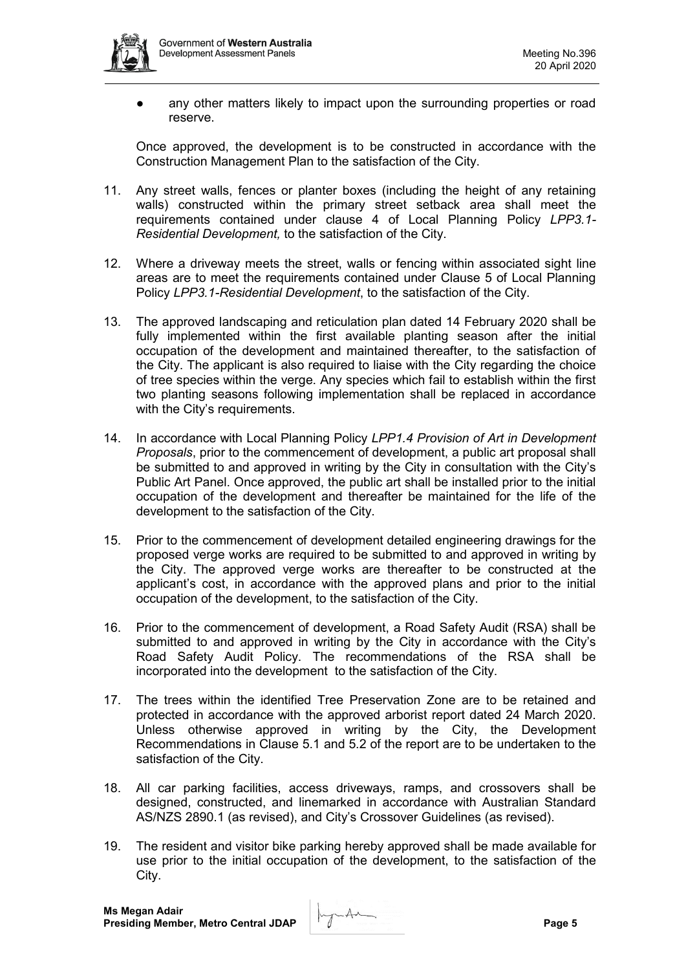

● any other matters likely to impact upon the surrounding properties or road reserve.

Once approved, the development is to be constructed in accordance with the Construction Management Plan to the satisfaction of the City.

- 11. Any street walls, fences or planter boxes (including the height of any retaining walls) constructed within the primary street setback area shall meet the requirements contained under clause 4 of Local Planning Policy *LPP3.1- Residential Development,* to the satisfaction of the City.
- 12. Where a driveway meets the street, walls or fencing within associated sight line areas are to meet the requirements contained under Clause 5 of Local Planning Policy *LPP3.1-Residential Development*, to the satisfaction of the City.
- 13. The approved landscaping and reticulation plan dated 14 February 2020 shall be fully implemented within the first available planting season after the initial occupation of the development and maintained thereafter, to the satisfaction of the City. The applicant is also required to liaise with the City regarding the choice of tree species within the verge. Any species which fail to establish within the first two planting seasons following implementation shall be replaced in accordance with the City's requirements.
- 14. In accordance with Local Planning Policy *LPP1.4 Provision of Art in Development Proposals*, prior to the commencement of development, a public art proposal shall be submitted to and approved in writing by the City in consultation with the City's Public Art Panel. Once approved, the public art shall be installed prior to the initial occupation of the development and thereafter be maintained for the life of the development to the satisfaction of the City.
- 15. Prior to the commencement of development detailed engineering drawings for the proposed verge works are required to be submitted to and approved in writing by the City. The approved verge works are thereafter to be constructed at the applicant's cost, in accordance with the approved plans and prior to the initial occupation of the development, to the satisfaction of the City.
- 16. Prior to the commencement of development, a Road Safety Audit (RSA) shall be submitted to and approved in writing by the City in accordance with the City's Road Safety Audit Policy. The recommendations of the RSA shall be incorporated into the development to the satisfaction of the City.
- 17. The trees within the identified Tree Preservation Zone are to be retained and protected in accordance with the approved arborist report dated 24 March 2020. Unless otherwise approved in writing by the City, the Development Recommendations in Clause 5.1 and 5.2 of the report are to be undertaken to the satisfaction of the City.
- 18. All car parking facilities, access driveways, ramps, and crossovers shall be designed, constructed, and linemarked in accordance with Australian Standard AS/NZS 2890.1 (as revised), and City's Crossover Guidelines (as revised).
- 19. The resident and visitor bike parking hereby approved shall be made available for use prior to the initial occupation of the development, to the satisfaction of the City.

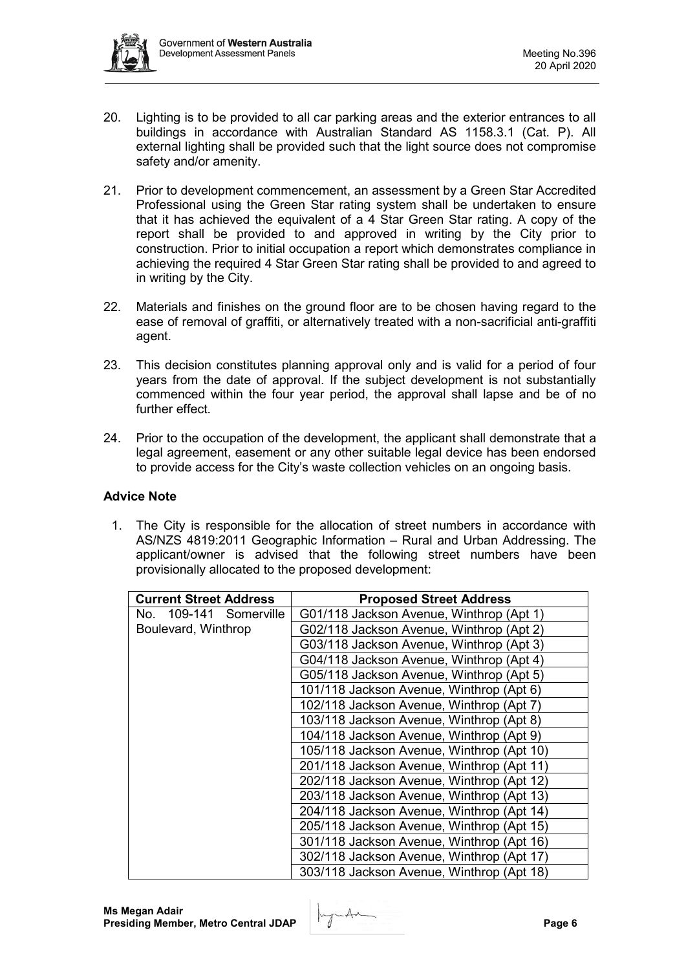

- 20. Lighting is to be provided to all car parking areas and the exterior entrances to all buildings in accordance with Australian Standard AS 1158.3.1 (Cat. P). All external lighting shall be provided such that the light source does not compromise safety and/or amenity.
- 21. Prior to development commencement, an assessment by a Green Star Accredited Professional using the Green Star rating system shall be undertaken to ensure that it has achieved the equivalent of a 4 Star Green Star rating. A copy of the report shall be provided to and approved in writing by the City prior to construction. Prior to initial occupation a report which demonstrates compliance in achieving the required 4 Star Green Star rating shall be provided to and agreed to in writing by the City.
- 22. Materials and finishes on the ground floor are to be chosen having regard to the ease of removal of graffiti, or alternatively treated with a non-sacrificial anti-graffiti agent.
- 23. This decision constitutes planning approval only and is valid for a period of four years from the date of approval. If the subject development is not substantially commenced within the four year period, the approval shall lapse and be of no further effect.
- 24. Prior to the occupation of the development, the applicant shall demonstrate that a legal agreement, easement or any other suitable legal device has been endorsed to provide access for the City's waste collection vehicles on an ongoing basis.

## **Advice Note**

1. The City is responsible for the allocation of street numbers in accordance with AS/NZS 4819:2011 Geographic Information – Rural and Urban Addressing. The applicant/owner is advised that the following street numbers have been provisionally allocated to the proposed development:

| <b>Current Street Address</b> | <b>Proposed Street Address</b>            |
|-------------------------------|-------------------------------------------|
| No. 109-141 Somerville        | G01/118 Jackson Avenue, Winthrop (Apt 1)  |
| Boulevard, Winthrop           | G02/118 Jackson Avenue, Winthrop (Apt 2)  |
|                               | G03/118 Jackson Avenue, Winthrop (Apt 3)  |
|                               | G04/118 Jackson Avenue, Winthrop (Apt 4)  |
|                               | G05/118 Jackson Avenue, Winthrop (Apt 5)  |
|                               | 101/118 Jackson Avenue, Winthrop (Apt 6)  |
|                               | 102/118 Jackson Avenue, Winthrop (Apt 7)  |
|                               | 103/118 Jackson Avenue, Winthrop (Apt 8)  |
|                               | 104/118 Jackson Avenue, Winthrop (Apt 9)  |
|                               | 105/118 Jackson Avenue, Winthrop (Apt 10) |
|                               | 201/118 Jackson Avenue, Winthrop (Apt 11) |
|                               | 202/118 Jackson Avenue, Winthrop (Apt 12) |
|                               | 203/118 Jackson Avenue, Winthrop (Apt 13) |
|                               | 204/118 Jackson Avenue, Winthrop (Apt 14) |
|                               | 205/118 Jackson Avenue, Winthrop (Apt 15) |
|                               | 301/118 Jackson Avenue, Winthrop (Apt 16) |
|                               | 302/118 Jackson Avenue, Winthrop (Apt 17) |
|                               | 303/118 Jackson Avenue, Winthrop (Apt 18) |

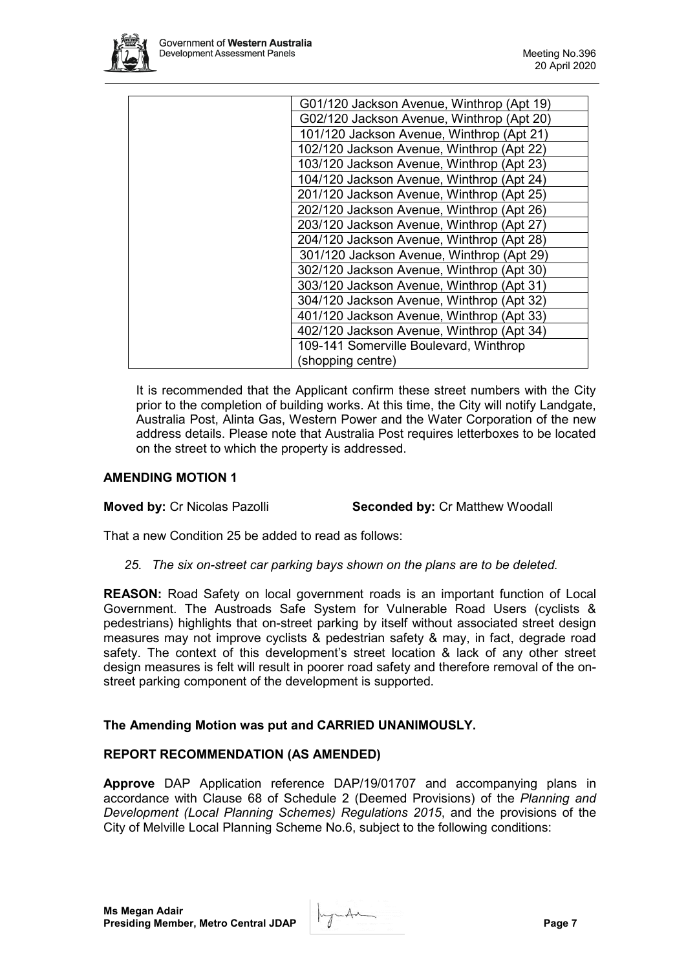

| G01/120 Jackson Avenue, Winthrop (Apt 19) |
|-------------------------------------------|
| G02/120 Jackson Avenue, Winthrop (Apt 20) |
| 101/120 Jackson Avenue, Winthrop (Apt 21) |
| 102/120 Jackson Avenue, Winthrop (Apt 22) |
| 103/120 Jackson Avenue, Winthrop (Apt 23) |
| 104/120 Jackson Avenue, Winthrop (Apt 24) |
| 201/120 Jackson Avenue, Winthrop (Apt 25) |
| 202/120 Jackson Avenue, Winthrop (Apt 26) |
| 203/120 Jackson Avenue, Winthrop (Apt 27) |
| 204/120 Jackson Avenue, Winthrop (Apt 28) |
| 301/120 Jackson Avenue, Winthrop (Apt 29) |
| 302/120 Jackson Avenue, Winthrop (Apt 30) |
| 303/120 Jackson Avenue, Winthrop (Apt 31) |
| 304/120 Jackson Avenue, Winthrop (Apt 32) |
| 401/120 Jackson Avenue, Winthrop (Apt 33) |
| 402/120 Jackson Avenue, Winthrop (Apt 34) |
| 109-141 Somerville Boulevard, Winthrop    |
| (shopping centre)                         |
|                                           |

It is recommended that the Applicant confirm these street numbers with the City prior to the completion of building works. At this time, the City will notify Landgate, Australia Post, Alinta Gas, Western Power and the Water Corporation of the new address details. Please note that Australia Post requires letterboxes to be located on the street to which the property is addressed.

## **AMENDING MOTION 1**

**Moved by:** Cr Nicolas Pazolli **Seconded by:** Cr Matthew Woodall

That a new Condition 25 be added to read as follows:

*25. The six on-street car parking bays shown on the plans are to be deleted.*

**REASON:** Road Safety on local government roads is an important function of Local Government. The Austroads Safe System for Vulnerable Road Users (cyclists & pedestrians) highlights that on-street parking by itself without associated street design measures may not improve cyclists & pedestrian safety & may, in fact, degrade road safety. The context of this development's street location & lack of any other street design measures is felt will result in poorer road safety and therefore removal of the onstreet parking component of the development is supported.

## **The Amending Motion was put and CARRIED UNANIMOUSLY.**

## **REPORT RECOMMENDATION (AS AMENDED)**

**Approve** DAP Application reference DAP/19/01707 and accompanying plans in accordance with Clause 68 of Schedule 2 (Deemed Provisions) of the *Planning and Development (Local Planning Schemes) Regulations 2015*, and the provisions of the City of Melville Local Planning Scheme No.6, subject to the following conditions:

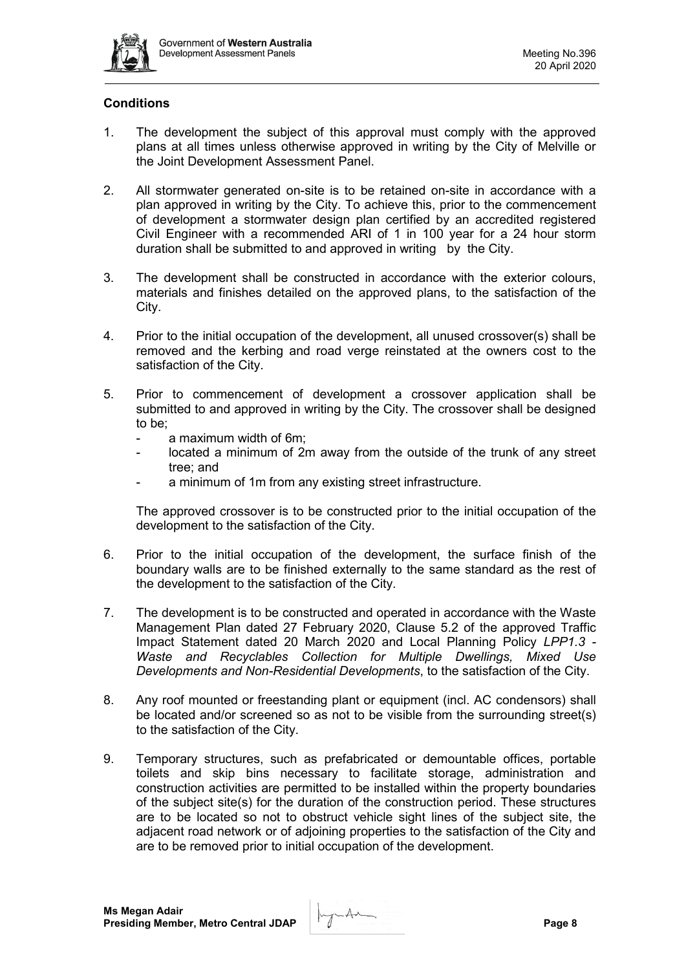

# **Conditions**

- 1. The development the subject of this approval must comply with the approved plans at all times unless otherwise approved in writing by the City of Melville or the Joint Development Assessment Panel.
- 2. All stormwater generated on-site is to be retained on-site in accordance with a plan approved in writing by the City. To achieve this, prior to the commencement of development a stormwater design plan certified by an accredited registered Civil Engineer with a recommended ARI of 1 in 100 year for a 24 hour storm duration shall be submitted to and approved in writing by the City.
- 3. The development shall be constructed in accordance with the exterior colours, materials and finishes detailed on the approved plans, to the satisfaction of the City.
- 4. Prior to the initial occupation of the development, all unused crossover(s) shall be removed and the kerbing and road verge reinstated at the owners cost to the satisfaction of the City.
- 5. Prior to commencement of development a crossover application shall be submitted to and approved in writing by the City. The crossover shall be designed to be;
	- a maximum width of 6m;
	- located a minimum of 2m away from the outside of the trunk of any street tree; and
	- a minimum of 1m from any existing street infrastructure.

The approved crossover is to be constructed prior to the initial occupation of the development to the satisfaction of the City.

- 6. Prior to the initial occupation of the development, the surface finish of the boundary walls are to be finished externally to the same standard as the rest of the development to the satisfaction of the City.
- 7. The development is to be constructed and operated in accordance with the Waste Management Plan dated 27 February 2020, Clause 5.2 of the approved Traffic Impact Statement dated 20 March 2020 and Local Planning Policy *LPP1.3 - Waste and Recyclables Collection for Multiple Dwellings, Mixed Use Developments and Non-Residential Developments*, to the satisfaction of the City.
- 8. Any roof mounted or freestanding plant or equipment (incl. AC condensors) shall be located and/or screened so as not to be visible from the surrounding street(s) to the satisfaction of the City.
- 9. Temporary structures, such as prefabricated or demountable offices, portable toilets and skip bins necessary to facilitate storage, administration and construction activities are permitted to be installed within the property boundaries of the subject site(s) for the duration of the construction period. These structures are to be located so not to obstruct vehicle sight lines of the subject site, the adjacent road network or of adjoining properties to the satisfaction of the City and are to be removed prior to initial occupation of the development.

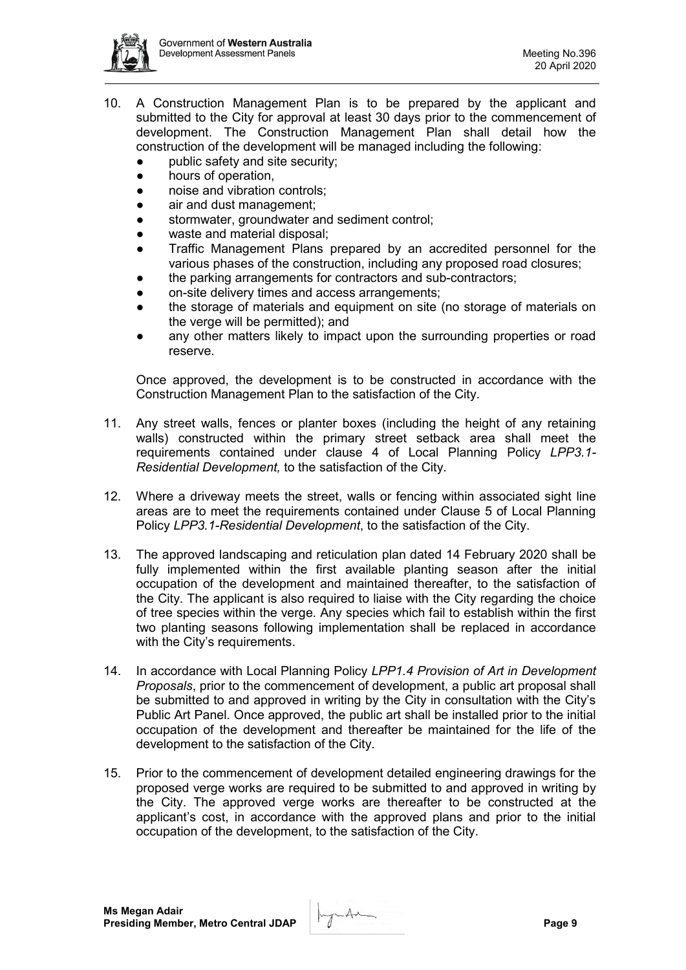

- 10. A Construction Management Plan is to be prepared by the applicant and submitted to the City for approval at least 30 days prior to the commencement of development. The Construction Management Plan shall detail how the construction of the development will be managed including the following:
	- public safety and site security:
	- hours of operation,
	- noise and vibration controls:
	- air and dust management;
	- stormwater, groundwater and sediment control;
	- waste and material disposal;
	- Traffic Management Plans prepared by an accredited personnel for the various phases of the construction, including any proposed road closures;
	- the parking arrangements for contractors and sub-contractors;
	- on-site delivery times and access arrangements;
	- the storage of materials and equipment on site (no storage of materials on the verge will be permitted); and
	- any other matters likely to impact upon the surrounding properties or road reserve.

Once approved, the development is to be constructed in accordance with the Construction Management Plan to the satisfaction of the City.

- 11. Any street walls, fences or planter boxes (including the height of any retaining walls) constructed within the primary street setback area shall meet the requirements contained under clause 4 of Local Planning Policy *LPP3.1- Residential Development,* to the satisfaction of the City.
- 12. Where a driveway meets the street, walls or fencing within associated sight line areas are to meet the requirements contained under Clause 5 of Local Planning Policy *LPP3.1-Residential Development*, to the satisfaction of the City.
- 13. The approved landscaping and reticulation plan dated 14 February 2020 shall be fully implemented within the first available planting season after the initial occupation of the development and maintained thereafter, to the satisfaction of the City. The applicant is also required to liaise with the City regarding the choice of tree species within the verge. Any species which fail to establish within the first two planting seasons following implementation shall be replaced in accordance with the City's requirements.
- 14. In accordance with Local Planning Policy *LPP1.4 Provision of Art in Development Proposals*, prior to the commencement of development, a public art proposal shall be submitted to and approved in writing by the City in consultation with the City's Public Art Panel. Once approved, the public art shall be installed prior to the initial occupation of the development and thereafter be maintained for the life of the development to the satisfaction of the City.
- 15. Prior to the commencement of development detailed engineering drawings for the proposed verge works are required to be submitted to and approved in writing by the City. The approved verge works are thereafter to be constructed at the applicant's cost, in accordance with the approved plans and prior to the initial occupation of the development, to the satisfaction of the City.

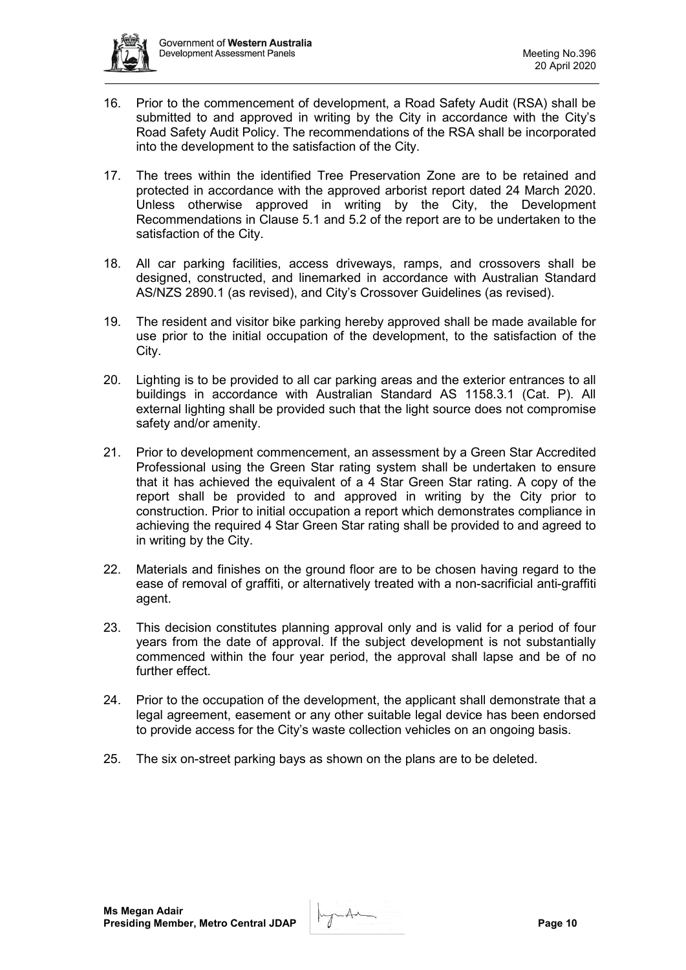

- 16. Prior to the commencement of development, a Road Safety Audit (RSA) shall be submitted to and approved in writing by the City in accordance with the City's Road Safety Audit Policy. The recommendations of the RSA shall be incorporated into the development to the satisfaction of the City.
- 17. The trees within the identified Tree Preservation Zone are to be retained and protected in accordance with the approved arborist report dated 24 March 2020. Unless otherwise approved in writing by the City, the Development Recommendations in Clause 5.1 and 5.2 of the report are to be undertaken to the satisfaction of the City.
- 18. All car parking facilities, access driveways, ramps, and crossovers shall be designed, constructed, and linemarked in accordance with Australian Standard AS/NZS 2890.1 (as revised), and City's Crossover Guidelines (as revised).
- 19. The resident and visitor bike parking hereby approved shall be made available for use prior to the initial occupation of the development, to the satisfaction of the City.
- 20. Lighting is to be provided to all car parking areas and the exterior entrances to all buildings in accordance with Australian Standard AS 1158.3.1 (Cat. P). All external lighting shall be provided such that the light source does not compromise safety and/or amenity.
- 21. Prior to development commencement, an assessment by a Green Star Accredited Professional using the Green Star rating system shall be undertaken to ensure that it has achieved the equivalent of a 4 Star Green Star rating. A copy of the report shall be provided to and approved in writing by the City prior to construction. Prior to initial occupation a report which demonstrates compliance in achieving the required 4 Star Green Star rating shall be provided to and agreed to in writing by the City.
- 22. Materials and finishes on the ground floor are to be chosen having regard to the ease of removal of graffiti, or alternatively treated with a non-sacrificial anti-graffiti agent.
- 23. This decision constitutes planning approval only and is valid for a period of four years from the date of approval. If the subject development is not substantially commenced within the four year period, the approval shall lapse and be of no further effect.
- 24. Prior to the occupation of the development, the applicant shall demonstrate that a legal agreement, easement or any other suitable legal device has been endorsed to provide access for the City's waste collection vehicles on an ongoing basis.
- 25. The six on-street parking bays as shown on the plans are to be deleted.

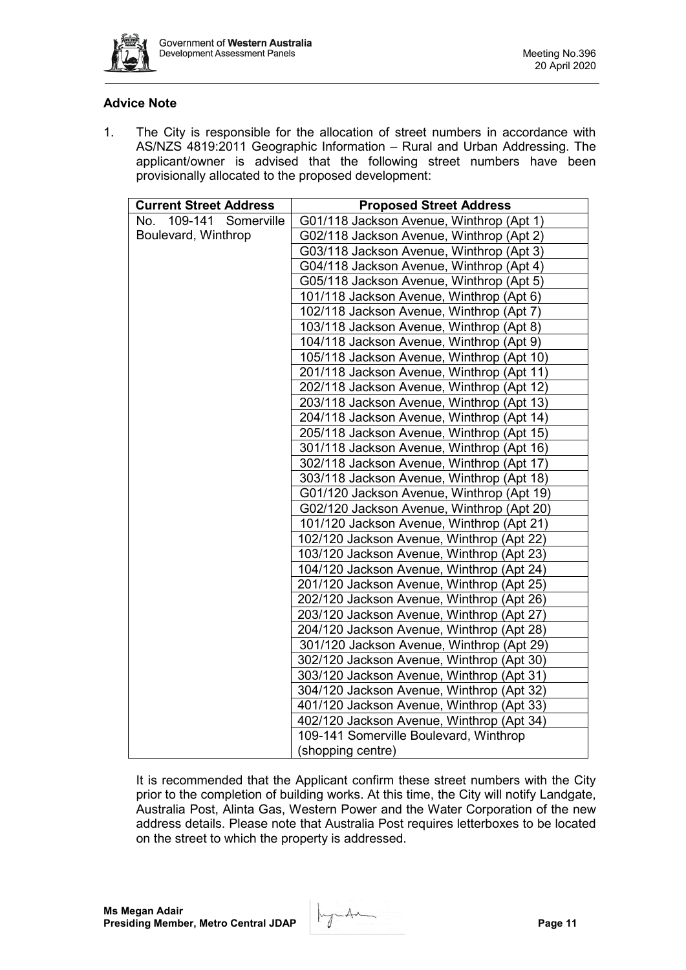

## **Advice Note**

1. The City is responsible for the allocation of street numbers in accordance with AS/NZS 4819:2011 Geographic Information – Rural and Urban Addressing. The applicant/owner is advised that the following street numbers have been provisionally allocated to the proposed development:

| <b>Current Street Address</b> | <b>Proposed Street Address</b>            |
|-------------------------------|-------------------------------------------|
| 109-141 Somerville<br>No.     | G01/118 Jackson Avenue, Winthrop (Apt 1)  |
| Boulevard, Winthrop           | G02/118 Jackson Avenue, Winthrop (Apt 2)  |
|                               | G03/118 Jackson Avenue, Winthrop (Apt 3)  |
|                               | G04/118 Jackson Avenue, Winthrop (Apt 4)  |
|                               | G05/118 Jackson Avenue, Winthrop (Apt 5)  |
|                               | 101/118 Jackson Avenue, Winthrop (Apt 6)  |
|                               | 102/118 Jackson Avenue, Winthrop (Apt 7)  |
|                               | 103/118 Jackson Avenue, Winthrop (Apt 8)  |
|                               | 104/118 Jackson Avenue, Winthrop (Apt 9)  |
|                               | 105/118 Jackson Avenue, Winthrop (Apt 10) |
|                               | 201/118 Jackson Avenue, Winthrop (Apt 11) |
|                               | 202/118 Jackson Avenue, Winthrop (Apt 12) |
|                               | 203/118 Jackson Avenue, Winthrop (Apt 13) |
|                               | 204/118 Jackson Avenue, Winthrop (Apt 14) |
|                               | 205/118 Jackson Avenue, Winthrop (Apt 15) |
|                               | 301/118 Jackson Avenue, Winthrop (Apt 16) |
|                               | 302/118 Jackson Avenue, Winthrop (Apt 17) |
|                               | 303/118 Jackson Avenue, Winthrop (Apt 18) |
|                               | G01/120 Jackson Avenue, Winthrop (Apt 19) |
|                               | G02/120 Jackson Avenue, Winthrop (Apt 20) |
|                               | 101/120 Jackson Avenue, Winthrop (Apt 21) |
|                               | 102/120 Jackson Avenue, Winthrop (Apt 22) |
|                               | 103/120 Jackson Avenue, Winthrop (Apt 23) |
|                               | 104/120 Jackson Avenue, Winthrop (Apt 24) |
|                               | 201/120 Jackson Avenue, Winthrop (Apt 25) |
|                               | 202/120 Jackson Avenue, Winthrop (Apt 26) |
|                               | 203/120 Jackson Avenue, Winthrop (Apt 27) |
|                               | 204/120 Jackson Avenue, Winthrop (Apt 28) |
|                               | 301/120 Jackson Avenue, Winthrop (Apt 29) |
|                               | 302/120 Jackson Avenue, Winthrop (Apt 30) |
|                               | 303/120 Jackson Avenue, Winthrop (Apt 31) |
|                               | 304/120 Jackson Avenue, Winthrop (Apt 32) |
|                               | 401/120 Jackson Avenue, Winthrop (Apt 33) |
|                               | 402/120 Jackson Avenue, Winthrop (Apt 34) |
|                               | 109-141 Somerville Boulevard, Winthrop    |
|                               | (shopping centre)                         |

It is recommended that the Applicant confirm these street numbers with the City prior to the completion of building works. At this time, the City will notify Landgate, Australia Post, Alinta Gas, Western Power and the Water Corporation of the new address details. Please note that Australia Post requires letterboxes to be located on the street to which the property is addressed.